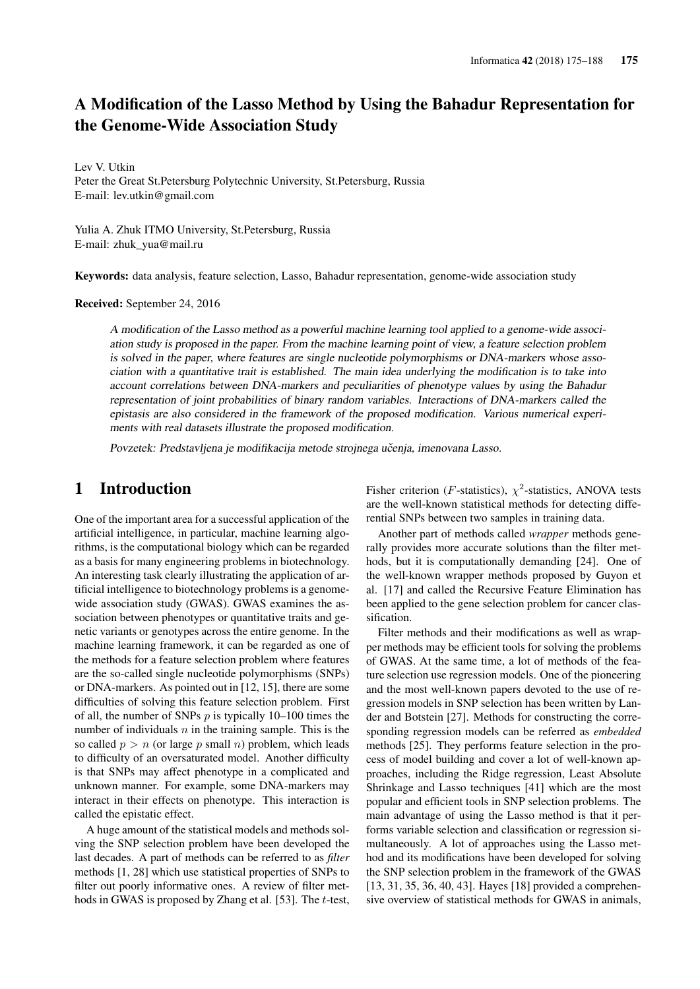# A Modification of the Lasso Method by Using the Bahadur Representation for the Genome-Wide Association Study

Lev V. Utkin Peter the Great St.Petersburg Polytechnic University, St.Petersburg, Russia E-mail: lev.utkin@gmail.com

Yulia A. Zhuk ITMO University, St.Petersburg, Russia E-mail: zhuk\_yua@mail.ru

Keywords: data analysis, feature selection, Lasso, Bahadur representation, genome-wide association study

Received: September 24, 2016

A modification of the Lasso method as a powerful machine learning tool applied to a genome-wide association study is proposed in the paper. From the machine learning point of view, a feature selection problem is solved in the paper, where features are single nucleotide polymorphisms or DNA-markers whose association with a quantitative trait is established. The main idea underlying the modification is to take into account correlations between DNA-markers and peculiarities of phenotype values by using the Bahadur representation of joint probabilities of binary random variables. Interactions of DNA-markers called the epistasis are also considered in the framework of the proposed modification. Various numerical experiments with real datasets illustrate the proposed modification.

Povzetek: Predstavljena je modifikacija metode strojnega učenja, imenovana Lasso.

# 1 Introduction

One of the important area for a successful application of the artificial intelligence, in particular, machine learning algorithms, is the computational biology which can be regarded as a basis for many engineering problems in biotechnology. An interesting task clearly illustrating the application of artificial intelligence to biotechnology problems is a genomewide association study (GWAS). GWAS examines the association between phenotypes or quantitative traits and genetic variants or genotypes across the entire genome. In the machine learning framework, it can be regarded as one of the methods for a feature selection problem where features are the so-called single nucleotide polymorphisms (SNPs) or DNA-markers. As pointed out in [12, 15], there are some difficulties of solving this feature selection problem. First of all, the number of SNPs  $p$  is typically 10–100 times the number of individuals  $n$  in the training sample. This is the so called  $p > n$  (or large p small n) problem, which leads to difficulty of an oversaturated model. Another difficulty is that SNPs may affect phenotype in a complicated and unknown manner. For example, some DNA-markers may interact in their effects on phenotype. This interaction is called the epistatic effect.

A huge amount of the statistical models and methods solving the SNP selection problem have been developed the last decades. A part of methods can be referred to as *filter* methods [1, 28] which use statistical properties of SNPs to filter out poorly informative ones. A review of filter methods in GWAS is proposed by Zhang et al. [53]. The *t*-test,

Fisher criterion (*F*-statistics),  $\chi^2$ -statistics, ANOVA tests are the well-known statistical methods for detecting differential SNPs between two samples in training data.

Another part of methods called *wrapper* methods generally provides more accurate solutions than the filter methods, but it is computationally demanding [24]. One of the well-known wrapper methods proposed by Guyon et al. [17] and called the Recursive Feature Elimination has been applied to the gene selection problem for cancer classification.

Filter methods and their modifications as well as wrapper methods may be efficient tools for solving the problems of GWAS. At the same time, a lot of methods of the feature selection use regression models. One of the pioneering and the most well-known papers devoted to the use of regression models in SNP selection has been written by Lander and Botstein [27]. Methods for constructing the corresponding regression models can be referred as *embedded* methods [25]. They performs feature selection in the process of model building and cover a lot of well-known approaches, including the Ridge regression, Least Absolute Shrinkage and Lasso techniques [41] which are the most popular and efficient tools in SNP selection problems. The main advantage of using the Lasso method is that it performs variable selection and classification or regression simultaneously. A lot of approaches using the Lasso method and its modifications have been developed for solving the SNP selection problem in the framework of the GWAS [13, 31, 35, 36, 40, 43]. Hayes [18] provided a comprehensive overview of statistical methods for GWAS in animals,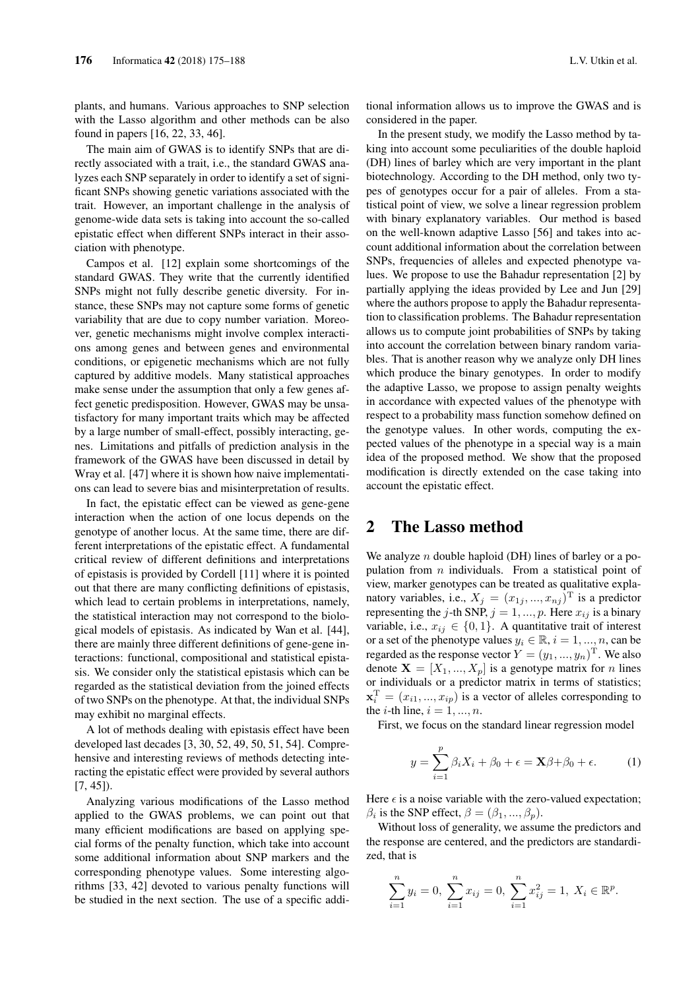plants, and humans. Various approaches to SNP selection with the Lasso algorithm and other methods can be also found in papers [16, 22, 33, 46].

The main aim of GWAS is to identify SNPs that are directly associated with a trait, i.e., the standard GWAS analyzes each SNP separately in order to identify a set of significant SNPs showing genetic variations associated with the trait. However, an important challenge in the analysis of genome-wide data sets is taking into account the so-called epistatic effect when different SNPs interact in their association with phenotype.

Campos et al. [12] explain some shortcomings of the standard GWAS. They write that the currently identified SNPs might not fully describe genetic diversity. For instance, these SNPs may not capture some forms of genetic variability that are due to copy number variation. Moreover, genetic mechanisms might involve complex interactions among genes and between genes and environmental conditions, or epigenetic mechanisms which are not fully captured by additive models. Many statistical approaches make sense under the assumption that only a few genes affect genetic predisposition. However, GWAS may be unsatisfactory for many important traits which may be affected by a large number of small-effect, possibly interacting, genes. Limitations and pitfalls of prediction analysis in the framework of the GWAS have been discussed in detail by Wray et al. [47] where it is shown how naive implementations can lead to severe bias and misinterpretation of results.

In fact, the epistatic effect can be viewed as gene-gene interaction when the action of one locus depends on the genotype of another locus. At the same time, there are different interpretations of the epistatic effect. A fundamental critical review of different definitions and interpretations of epistasis is provided by Cordell [11] where it is pointed out that there are many conflicting definitions of epistasis, which lead to certain problems in interpretations, namely, the statistical interaction may not correspond to the biological models of epistasis. As indicated by Wan et al. [44], there are mainly three different definitions of gene-gene interactions: functional, compositional and statistical epistasis. We consider only the statistical epistasis which can be regarded as the statistical deviation from the joined effects of two SNPs on the phenotype. At that, the individual SNPs may exhibit no marginal effects.

A lot of methods dealing with epistasis effect have been developed last decades [3, 30, 52, 49, 50, 51, 54]. Comprehensive and interesting reviews of methods detecting interacting the epistatic effect were provided by several authors  $[7, 45]$ ).

Analyzing various modifications of the Lasso method applied to the GWAS problems, we can point out that many efficient modifications are based on applying special forms of the penalty function, which take into account some additional information about SNP markers and the corresponding phenotype values. Some interesting algorithms [33, 42] devoted to various penalty functions will be studied in the next section. The use of a specific additional information allows us to improve the GWAS and is considered in the paper.

In the present study, we modify the Lasso method by taking into account some peculiarities of the double haploid (DH) lines of barley which are very important in the plant biotechnology. According to the DH method, only two types of genotypes occur for a pair of alleles. From a statistical point of view, we solve a linear regression problem with binary explanatory variables. Our method is based on the well-known adaptive Lasso [56] and takes into account additional information about the correlation between SNPs, frequencies of alleles and expected phenotype values. We propose to use the Bahadur representation [2] by partially applying the ideas provided by Lee and Jun [29] where the authors propose to apply the Bahadur representation to classification problems. The Bahadur representation allows us to compute joint probabilities of SNPs by taking into account the correlation between binary random variables. That is another reason why we analyze only DH lines which produce the binary genotypes. In order to modify the adaptive Lasso, we propose to assign penalty weights in accordance with expected values of the phenotype with respect to a probability mass function somehow defined on the genotype values. In other words, computing the expected values of the phenotype in a special way is a main idea of the proposed method. We show that the proposed modification is directly extended on the case taking into account the epistatic effect.

### 2 The Lasso method

We analyze *n* double haploid (DH) lines of barley or a population from  $n$  individuals. From a statistical point of view, marker genotypes can be treated as qualitative explanatory variables, i.e.,  $X_j = (x_{1j}, ..., x_{nj})^T$  is a predictor representing the j-th SNP,  $j = 1, ..., p$ . Here  $x_{ij}$  is a binary variable, i.e.,  $x_{ij} \in \{0, 1\}$ . A quantitative trait of interest or a set of the phenotype values  $y_i \in \mathbb{R}, i = 1, ..., n$ , can be regarded as the response vector  $Y = (y_1, ..., y_n)^{\mathrm{T}}$ . We also denote  $X = [X_1, ..., X_p]$  is a genotype matrix for *n* lines or individuals or a predictor matrix in terms of statistics;  $\mathbf{x}_i^{\mathrm{T}} = (x_{i1}, ..., x_{ip})$  is a vector of alleles corresponding to the *i*-th line,  $i = 1, ..., n$ .

First, we focus on the standard linear regression model

$$
y = \sum_{i=1}^{p} \beta_i X_i + \beta_0 + \epsilon = \mathbf{X}\beta + \beta_0 + \epsilon.
$$
 (1)

Here  $\epsilon$  is a noise variable with the zero-valued expectation;  $\beta_i$  is the SNP effect,  $\beta = (\beta_1, ..., \beta_p)$ .

Without loss of generality, we assume the predictors and the response are centered, and the predictors are standardized, that is

$$
\sum_{i=1}^{n} y_i = 0, \sum_{i=1}^{n} x_{ij} = 0, \sum_{i=1}^{n} x_{ij}^2 = 1, X_i \in \mathbb{R}^p.
$$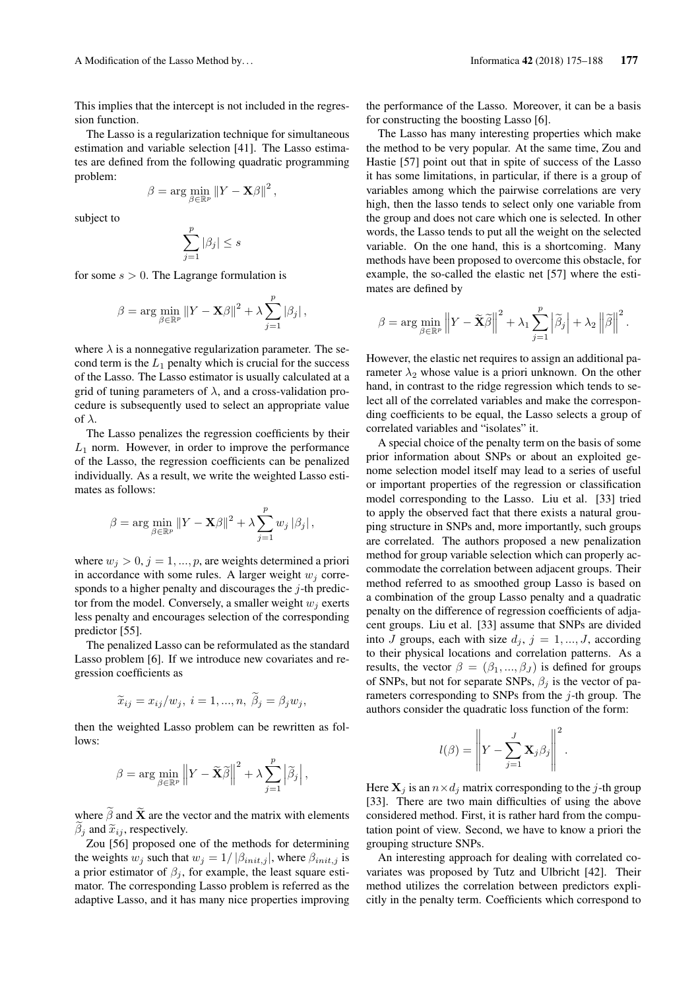This implies that the intercept is not included in the regression function.

The Lasso is a regularization technique for simultaneous estimation and variable selection [41]. The Lasso estimates are defined from the following quadratic programming problem:

$$
\beta = \arg\min_{\beta \in \mathbb{R}^p} \left\| Y - \mathbf{X}\beta \right\|^2,
$$

subject to

$$
\sum_{j=1}^p |\beta_j| \le s
$$

for some  $s > 0$ . The Lagrange formulation is

$$
\beta = \arg \min_{\beta \in \mathbb{R}^p} \|Y - \mathbf{X}\beta\|^2 + \lambda \sum_{j=1}^p |\beta_j|,
$$

where  $\lambda$  is a nonnegative regularization parameter. The second term is the  $L_1$  penalty which is crucial for the success of the Lasso. The Lasso estimator is usually calculated at a grid of tuning parameters of  $\lambda$ , and a cross-validation procedure is subsequently used to select an appropriate value of  $\lambda$ .

The Lasso penalizes the regression coefficients by their  $L_1$  norm. However, in order to improve the performance of the Lasso, the regression coefficients can be penalized individually. As a result, we write the weighted Lasso estimates as follows:

$$
\beta = \arg \min_{\beta \in \mathbb{R}^p} \left\| Y - \mathbf{X}\beta \right\|^2 + \lambda \sum_{j=1}^p w_j \left| \beta_j \right|,
$$

where  $w_j > 0$ ,  $j = 1, ..., p$ , are weights determined a priori in accordance with some rules. A larger weight  $w_i$  corresponds to a higher penalty and discourages the j-th predictor from the model. Conversely, a smaller weight  $w_i$  exerts less penalty and encourages selection of the corresponding predictor [55].

The penalized Lasso can be reformulated as the standard Lasso problem [6]. If we introduce new covariates and regression coefficients as

$$
\widetilde{x}_{ij} = x_{ij}/w_j, \ i = 1, ..., n, \ \widetilde{\beta}_j = \beta_j w_j,
$$

then the weighted Lasso problem can be rewritten as follows:

$$
\beta = \arg \min_{\beta \in \mathbb{R}^p} \left\| Y - \widetilde{\mathbf{X}} \widetilde{\beta} \right\|^2 + \lambda \sum_{j=1}^p \left| \widetilde{\beta}_j \right|,
$$

where  $\tilde{\beta}$  and  $\tilde{\mathbf{X}}$  are the vector and the matrix with elements  $\beta_i$  and  $\tilde{x}_{ij}$ , respectively.

Zou [56] proposed one of the methods for determining the weights  $w_j$  such that  $w_j = 1/ |\beta_{init,j}|$ , where  $\beta_{init,j}$  is a prior estimator of  $\beta_i$ , for example, the least square estimator. The corresponding Lasso problem is referred as the adaptive Lasso, and it has many nice properties improving the performance of the Lasso. Moreover, it can be a basis for constructing the boosting Lasso [6].

The Lasso has many interesting properties which make the method to be very popular. At the same time, Zou and Hastie [57] point out that in spite of success of the Lasso it has some limitations, in particular, if there is a group of variables among which the pairwise correlations are very high, then the lasso tends to select only one variable from the group and does not care which one is selected. In other words, the Lasso tends to put all the weight on the selected variable. On the one hand, this is a shortcoming. Many methods have been proposed to overcome this obstacle, for example, the so-called the elastic net [57] where the estimates are defined by

$$
\beta = \arg \min_{\beta \in \mathbb{R}^p} \left\| Y - \widetilde{\mathbf{X}} \widetilde{\beta} \right\|^2 + \lambda_1 \sum_{j=1}^p \left| \widetilde{\beta}_j \right| + \lambda_2 \left\| \widetilde{\beta} \right\|^2.
$$

However, the elastic net requires to assign an additional parameter  $\lambda_2$  whose value is a priori unknown. On the other hand, in contrast to the ridge regression which tends to select all of the correlated variables and make the corresponding coefficients to be equal, the Lasso selects a group of correlated variables and "isolates" it.

A special choice of the penalty term on the basis of some prior information about SNPs or about an exploited genome selection model itself may lead to a series of useful or important properties of the regression or classification model corresponding to the Lasso. Liu et al. [33] tried to apply the observed fact that there exists a natural grouping structure in SNPs and, more importantly, such groups are correlated. The authors proposed a new penalization method for group variable selection which can properly accommodate the correlation between adjacent groups. Their method referred to as smoothed group Lasso is based on a combination of the group Lasso penalty and a quadratic penalty on the difference of regression coefficients of adjacent groups. Liu et al. [33] assume that SNPs are divided into J groups, each with size  $d_j$ ,  $j = 1, ..., J$ , according to their physical locations and correlation patterns. As a results, the vector  $\beta = (\beta_1, ..., \beta_J)$  is defined for groups of SNPs, but not for separate SNPs,  $\beta_i$  is the vector of parameters corresponding to SNPs from the  $j$ -th group. The authors consider the quadratic loss function of the form:

$$
l(\beta) = \left\| Y - \sum_{j=1}^{J} \mathbf{X}_{j} \beta_{j} \right\|^{2}
$$

.

Here  $X_j$  is an  $n \times d_j$  matrix corresponding to the j-th group [33]. There are two main difficulties of using the above considered method. First, it is rather hard from the computation point of view. Second, we have to know a priori the grouping structure SNPs.

An interesting approach for dealing with correlated covariates was proposed by Tutz and Ulbricht [42]. Their method utilizes the correlation between predictors explicitly in the penalty term. Coefficients which correspond to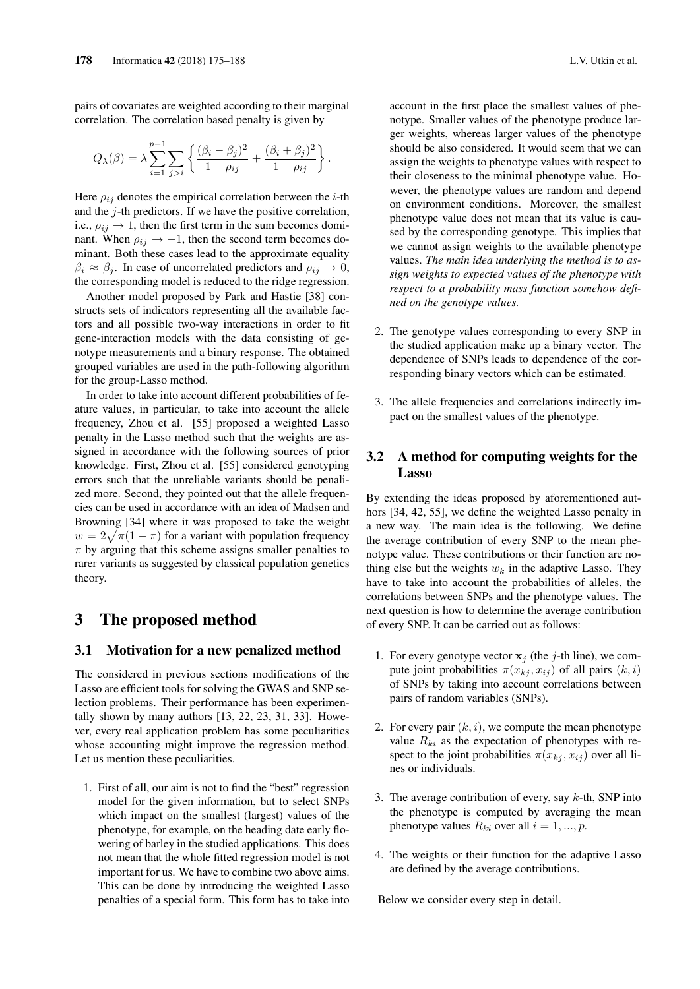pairs of covariates are weighted according to their marginal correlation. The correlation based penalty is given by

$$
Q_{\lambda}(\beta) = \lambda \sum_{i=1}^{p-1} \sum_{j>i} \left\{ \frac{(\beta_i - \beta_j)^2}{1 - \rho_{ij}} + \frac{(\beta_i + \beta_j)^2}{1 + \rho_{ij}} \right\}.
$$

Here  $\rho_{ij}$  denotes the empirical correlation between the *i*-th and the  $j$ -th predictors. If we have the positive correlation, i.e.,  $\rho_{ij} \rightarrow 1$ , then the first term in the sum becomes dominant. When  $\rho_{ij} \rightarrow -1$ , then the second term becomes dominant. Both these cases lead to the approximate equality  $\beta_i \approx \beta_j$ . In case of uncorrelated predictors and  $\rho_{ij} \rightarrow 0$ , the corresponding model is reduced to the ridge regression.

Another model proposed by Park and Hastie [38] constructs sets of indicators representing all the available factors and all possible two-way interactions in order to fit gene-interaction models with the data consisting of genotype measurements and a binary response. The obtained grouped variables are used in the path-following algorithm for the group-Lasso method.

In order to take into account different probabilities of feature values, in particular, to take into account the allele frequency, Zhou et al. [55] proposed a weighted Lasso penalty in the Lasso method such that the weights are assigned in accordance with the following sources of prior knowledge. First, Zhou et al. [55] considered genotyping errors such that the unreliable variants should be penalized more. Second, they pointed out that the allele frequencies can be used in accordance with an idea of Madsen and Browning [34] where it was proposed to take the weight  $w = 2\sqrt{\pi(1-\pi)}$  for a variant with population frequency  $\pi$  by arguing that this scheme assigns smaller penalties to rarer variants as suggested by classical population genetics theory.

# 3 The proposed method

### 3.1 Motivation for a new penalized method

The considered in previous sections modifications of the Lasso are efficient tools for solving the GWAS and SNP selection problems. Their performance has been experimentally shown by many authors  $[13, 22, 23, 31, 33]$ . However, every real application problem has some peculiarities whose accounting might improve the regression method. Let us mention these peculiarities.

1. First of all, our aim is not to find the "best" regression model for the given information, but to select SNPs which impact on the smallest (largest) values of the phenotype, for example, on the heading date early flowering of barley in the studied applications. This does not mean that the whole fitted regression model is not important for us. We have to combine two above aims. This can be done by introducing the weighted Lasso penalties of a special form. This form has to take into

account in the first place the smallest values of phenotype. Smaller values of the phenotype produce larger weights, whereas larger values of the phenotype should be also considered. It would seem that we can assign the weights to phenotype values with respect to their closeness to the minimal phenotype value. However, the phenotype values are random and depend on environment conditions. Moreover, the smallest phenotype value does not mean that its value is caused by the corresponding genotype. This implies that we cannot assign weights to the available phenotype values. *The main idea underlying the method is to assign weights to expected values of the phenotype with respect to a probability mass function somehow defined on the genotype values.*

- 2. The genotype values corresponding to every SNP in the studied application make up a binary vector. The dependence of SNPs leads to dependence of the corresponding binary vectors which can be estimated.
- 3. The allele frequencies and correlations indirectly impact on the smallest values of the phenotype.

### 3.2 A method for computing weights for the Lasso

By extending the ideas proposed by aforementioned authors [34, 42, 55], we define the weighted Lasso penalty in a new way. The main idea is the following. We define the average contribution of every SNP to the mean phenotype value. These contributions or their function are nothing else but the weights  $w_k$  in the adaptive Lasso. They have to take into account the probabilities of alleles, the correlations between SNPs and the phenotype values. The next question is how to determine the average contribution of every SNP. It can be carried out as follows:

- 1. For every genotype vector  $x_j$  (the j-th line), we compute joint probabilities  $\pi(x_{ki}, x_{ij})$  of all pairs  $(k, i)$ of SNPs by taking into account correlations between pairs of random variables (SNPs).
- 2. For every pair  $(k, i)$ , we compute the mean phenotype value  $R_{ki}$  as the expectation of phenotypes with respect to the joint probabilities  $\pi(x_{ki}, x_{ij})$  over all lines or individuals.
- 3. The average contribution of every, say  $k$ -th, SNP into the phenotype is computed by averaging the mean phenotype values  $R_{ki}$  over all  $i = 1, ..., p$ .
- 4. The weights or their function for the adaptive Lasso are defined by the average contributions.

Below we consider every step in detail.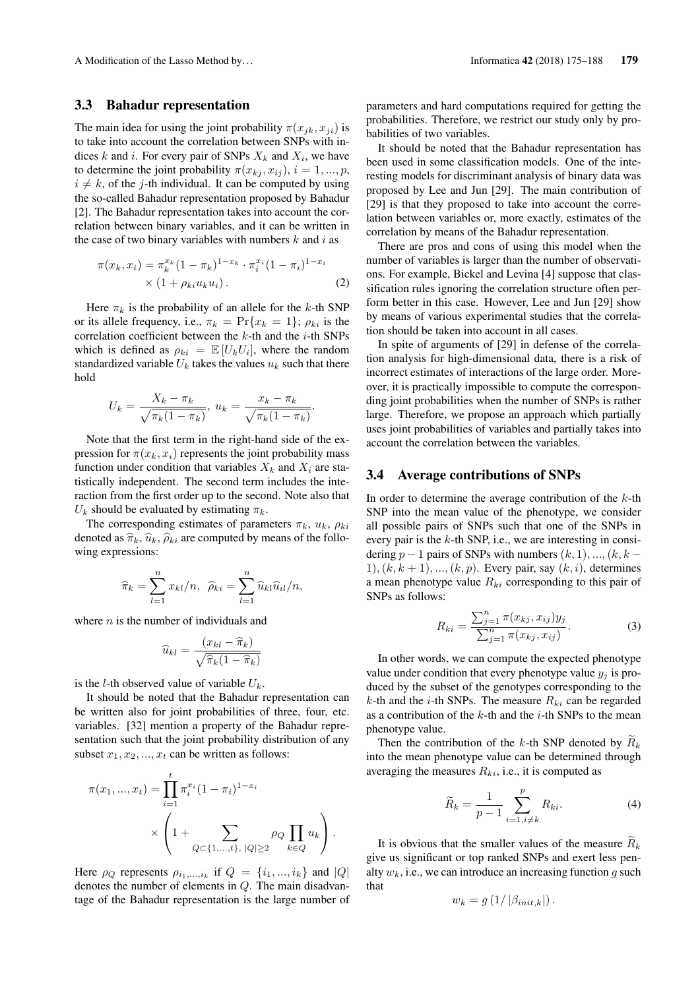#### 3.3 Bahadur representation

The main idea for using the joint probability  $\pi(x_{ik}, x_{ii})$  is to take into account the correlation between SNPs with indices k and i. For every pair of SNPs  $X_k$  and  $X_i$ , we have to determine the joint probability  $\pi(x_{ki}, x_{ij}), i = 1, ..., p$ ,  $i \neq k$ , of the j-th individual. It can be computed by using the so-called Bahadur representation proposed by Bahadur [2]. The Bahadur representation takes into account the correlation between binary variables, and it can be written in the case of two binary variables with numbers  $k$  and  $i$  as

$$
\pi(x_k, x_i) = \pi_k^{x_k} (1 - \pi_k)^{1 - x_k} \cdot \pi_i^{x_i} (1 - \pi_i)^{1 - x_i}
$$
  
× (1 +  $\rho_{ki} u_k u_i$ ). (2)

Here  $\pi_k$  is the probability of an allele for the k-th SNP or its allele frequency, i.e.,  $\pi_k = \Pr\{x_k = 1\}$ ;  $\rho_{ki}$  is the correlation coefficient between the  $k$ -th and the  $i$ -th SNPs which is defined as  $\rho_{ki} = \mathbb{E}[U_k U_i]$ , where the random standardized variable  $U_k$  takes the values  $u_k$  such that there hold

$$
U_k = \frac{X_k - \pi_k}{\sqrt{\pi_k (1 - \pi_k)}}, \ u_k = \frac{x_k - \pi_k}{\sqrt{\pi_k (1 - \pi_k)}}.
$$

Note that the first term in the right-hand side of the expression for  $\pi(x_k, x_i)$  represents the joint probability mass function under condition that variables  $X_k$  and  $X_i$  are statistically independent. The second term includes the interaction from the first order up to the second. Note also that  $U_k$  should be evaluated by estimating  $\pi_k$ .

The corresponding estimates of parameters  $\pi_k$ ,  $u_k$ ,  $\rho_{ki}$ denoted as  $\hat{\pi}_k$ ,  $\hat{u}_k$ ,  $\hat{\rho}_{ki}$  are computed by means of the following expressions:

$$
\widehat{\pi}_k = \sum_{l=1}^n x_{kl}/n, \ \widehat{\rho}_{ki} = \sum_{l=1}^n \widehat{u}_{kl} \widehat{u}_{il}/n,
$$

where  $n$  is the number of individuals and

$$
\widehat{u}_{kl} = \frac{(x_{kl} - \widehat{\pi}_k)}{\sqrt{\widehat{\pi}_k (1 - \widehat{\pi}_k)}}
$$

is the *l*-th observed value of variable  $U_k$ .

It should be noted that the Bahadur representation can be written also for joint probabilities of three, four, etc. variables. [32] mention a property of the Bahadur representation such that the joint probability distribution of any subset  $x_1, x_2, ..., x_t$  can be written as follows:

$$
\pi(x_1, ..., x_t) = \prod_{i=1}^t \pi_i^{x_i} (1 - \pi_i)^{1 - x_i}
$$

$$
\times \left(1 + \sum_{Q \subset \{1, ..., t\}, |Q| \ge 2} \rho_Q \prod_{k \in Q} u_k\right).
$$

Here  $\rho_Q$  represents  $\rho_{i_1,...,i_k}$  if  $Q = \{i_1,...,i_k\}$  and  $|Q|$ denotes the number of elements in Q. The main disadvantage of the Bahadur representation is the large number of parameters and hard computations required for getting the probabilities. Therefore, we restrict our study only by probabilities of two variables.

It should be noted that the Bahadur representation has been used in some classification models. One of the interesting models for discriminant analysis of binary data was proposed by Lee and Jun [29]. The main contribution of [29] is that they proposed to take into account the correlation between variables or, more exactly, estimates of the correlation by means of the Bahadur representation.

There are pros and cons of using this model when the number of variables is larger than the number of observations. For example, Bickel and Levina [4] suppose that classification rules ignoring the correlation structure often perform better in this case. However, Lee and Jun [29] show by means of various experimental studies that the correlation should be taken into account in all cases.

In spite of arguments of [29] in defense of the correlation analysis for high-dimensional data, there is a risk of incorrect estimates of interactions of the large order. Moreover, it is practically impossible to compute the corresponding joint probabilities when the number of SNPs is rather large. Therefore, we propose an approach which partially uses joint probabilities of variables and partially takes into account the correlation between the variables.

### 3.4 Average contributions of SNPs

In order to determine the average contribution of the  $k$ -th SNP into the mean value of the phenotype, we consider all possible pairs of SNPs such that one of the SNPs in every pair is the k-th SNP, i.e., we are interesting in considering  $p-1$  pairs of SNPs with numbers  $(k, 1), ..., (k, k -$ 1),  $(k, k + 1)$ , ...,  $(k, p)$ . Every pair, say  $(k, i)$ , determines a mean phenotype value  $R_{ki}$  corresponding to this pair of SNPs as follows:

$$
R_{ki} = \frac{\sum_{j=1}^{n} \pi(x_{kj}, x_{ij}) y_j}{\sum_{j=1}^{n} \pi(x_{kj}, x_{ij})}.
$$
 (3)

In other words, we can compute the expected phenotype value under condition that every phenotype value  $y_i$  is produced by the subset of the genotypes corresponding to the k-th and the *i*-th SNPs. The measure  $R_{ki}$  can be regarded as a contribution of the  $k$ -th and the  $i$ -th SNPs to the mean phenotype value.

Then the contribution of the k-th SNP denoted by  $R_k$ into the mean phenotype value can be determined through averaging the measures  $R_{ki}$ , i.e., it is computed as

$$
\widetilde{R}_k = \frac{1}{p-1} \sum_{i=1, i \neq k}^{p} R_{ki}.
$$
\n(4)

It is obvious that the smaller values of the measure  $R_k$ give us significant or top ranked SNPs and exert less penalty  $w_k$ , i.e., we can introduce an increasing function q such that

$$
w_k = g\left(1/\left|\beta_{init,k}\right|\right).
$$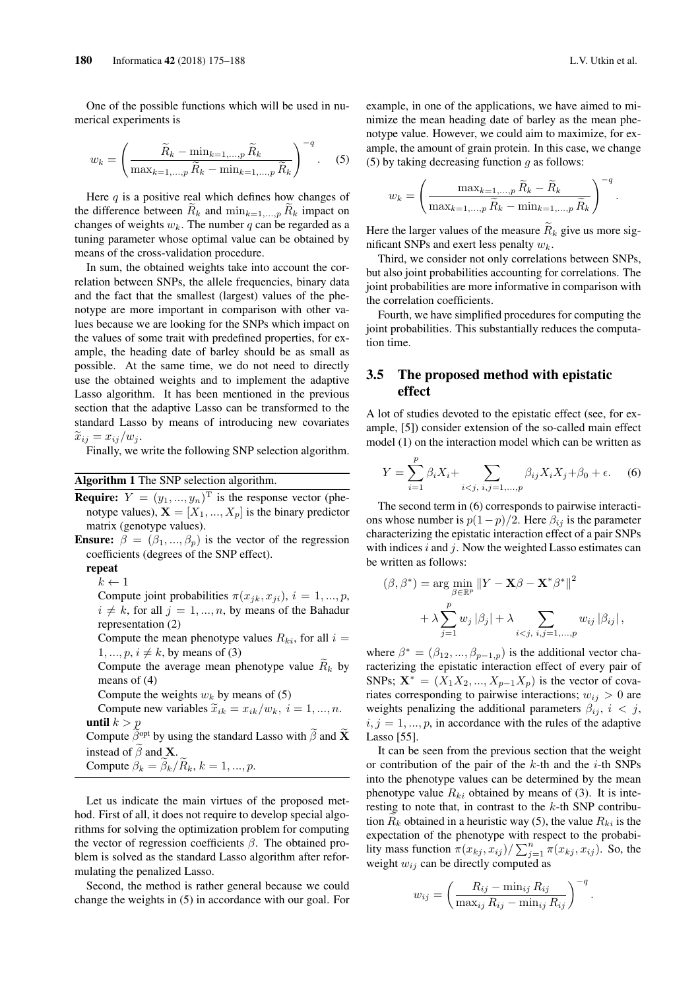One of the possible functions which will be used in numerical experiments is

$$
w_k = \left(\frac{\widetilde{R}_k - \min_{k=1,\dots,p} \widetilde{R}_k}{\max_{k=1,\dots,p} \widetilde{R}_k - \min_{k=1,\dots,p} \widetilde{R}_k}\right)^{-q}.
$$
 (5)

Here  $q$  is a positive real which defines how changes of the difference between  $R_k$  and  $\min_{k=1,\dots,p} R_k$  impact on changes of weights  $w_k$ . The number q can be regarded as a tuning parameter whose optimal value can be obtained by means of the cross-validation procedure.

In sum, the obtained weights take into account the correlation between SNPs, the allele frequencies, binary data and the fact that the smallest (largest) values of the phenotype are more important in comparison with other values because we are looking for the SNPs which impact on the values of some trait with predefined properties, for example, the heading date of barley should be as small as possible. At the same time, we do not need to directly use the obtained weights and to implement the adaptive Lasso algorithm. It has been mentioned in the previous section that the adaptive Lasso can be transformed to the standard Lasso by means of introducing new covariates  $\widetilde{x}_{ij} = x_{ij}/w_j.$ 

Finally, we write the following SNP selection algorithm.

#### Algorithm 1 The SNP selection algorithm.

**Require:**  $Y = (y_1, ..., y_n)^T$  is the response vector (phenotype values),  $X = [X_1, ..., X_p]$  is the binary predictor matrix (genotype values).

**Ensure:**  $\beta = (\beta_1, ..., \beta_p)$  is the vector of the regression coefficients (degrees of the SNP effect).

repeat

 $k \leftarrow 1$ 

Compute joint probabilities  $\pi(x_{jk}, x_{ji}), i = 1, ..., p$ ,  $i \neq k$ , for all  $j = 1, ..., n$ , by means of the Bahadur representation (2)

Compute the mean phenotype values  $R_{ki}$ , for all  $i =$  $1, ..., p, i \neq k$ , by means of (3)

Compute the average mean phenotype value  $\widetilde{R}_k$  by means of (4)

Compute the weights  $w_k$  by means of (5)

Compute new variables  $\tilde{x}_{ik} = x_{ik}/w_k$ ,  $i = 1, ..., n$ . until  $k > p$ 

Compute  $\widetilde{\beta}^{\text{opt}}$  by using the standard Lasso with  $\widetilde{\beta}$  and  $\widetilde{\mathbf{X}}$ instead of  $\tilde{\beta}$  and **X**.

Compute  $\beta_k = \tilde{\beta}_k / \tilde{R}_k$ ,  $k = 1, ..., p$ .

Let us indicate the main virtues of the proposed method. First of all, it does not require to develop special algorithms for solving the optimization problem for computing the vector of regression coefficients  $\beta$ . The obtained problem is solved as the standard Lasso algorithm after reformulating the penalized Lasso.

Second, the method is rather general because we could change the weights in (5) in accordance with our goal. For example, in one of the applications, we have aimed to minimize the mean heading date of barley as the mean phenotype value. However, we could aim to maximize, for example, the amount of grain protein. In this case, we change (5) by taking decreasing function  $q$  as follows:

$$
w_k = \left(\frac{\max_{k=1,\dots,p} \widetilde{R}_k - \widetilde{R}_k}{\max_{k=1,\dots,p} \widetilde{R}_k - \min_{k=1,\dots,p} \widetilde{R}_k}\right)^{-q}.
$$

Here the larger values of the measure  $\widetilde{R}_k$  give us more significant SNPs and exert less penalty  $w_k$ .

Third, we consider not only correlations between SNPs, but also joint probabilities accounting for correlations. The joint probabilities are more informative in comparison with the correlation coefficients.

Fourth, we have simplified procedures for computing the joint probabilities. This substantially reduces the computation time.

### 3.5 The proposed method with epistatic effect

A lot of studies devoted to the epistatic effect (see, for example, [5]) consider extension of the so-called main effect model (1) on the interaction model which can be written as

$$
Y = \sum_{i=1}^{p} \beta_i X_i + \sum_{i < j, \ i, j = 1, \dots, p} \beta_{ij} X_i X_j + \beta_0 + \epsilon. \tag{6}
$$

The second term in (6) corresponds to pairwise interactions whose number is  $p(1-p)/2$ . Here  $\beta_{ij}$  is the parameter characterizing the epistatic interaction effect of a pair SNPs with indices  $i$  and  $j$ . Now the weighted Lasso estimates can be written as follows:

$$
(\beta, \beta^*) = \arg \min_{\beta \in \mathbb{R}^p} \|Y - \mathbf{X}\beta - \mathbf{X}^*\beta^*\|^2
$$

$$
+ \lambda \sum_{j=1}^p w_j |\beta_j| + \lambda \sum_{i < j, i, j = 1, \dots, p} w_{ij} |\beta_{ij}|,
$$

where  $\beta^* = (\beta_{12}, ..., \beta_{p-1,p})$  is the additional vector characterizing the epistatic interaction effect of every pair of SNPs;  $\mathbf{X}^* = (X_1 X_2, ..., X_{p-1} X_p)$  is the vector of covariates corresponding to pairwise interactions;  $w_{ij} > 0$  are weights penalizing the additional parameters  $\beta_{ij}$ ,  $i < j$ ,  $i, j = 1, ..., p$ , in accordance with the rules of the adaptive Lasso [55].

It can be seen from the previous section that the weight or contribution of the pair of the  $k$ -th and the  $i$ -th SNPs into the phenotype values can be determined by the mean phenotype value  $R_{ki}$  obtained by means of (3). It is interesting to note that, in contrast to the  $k$ -th SNP contribution  $R_k$  obtained in a heuristic way (5), the value  $R_{ki}$  is the expectation of the phenotype with respect to the probability mass function  $\pi(x_{kj}, x_{ij}) / \sum_{j=1}^n \pi(x_{kj}, x_{ij})$ . So, the weight  $w_{ij}$  can be directly computed as

$$
w_{ij} = \left(\frac{R_{ij} - \min_{ij} R_{ij}}{\max_{ij} R_{ij} - \min_{ij} R_{ij}}\right)^{-q}.
$$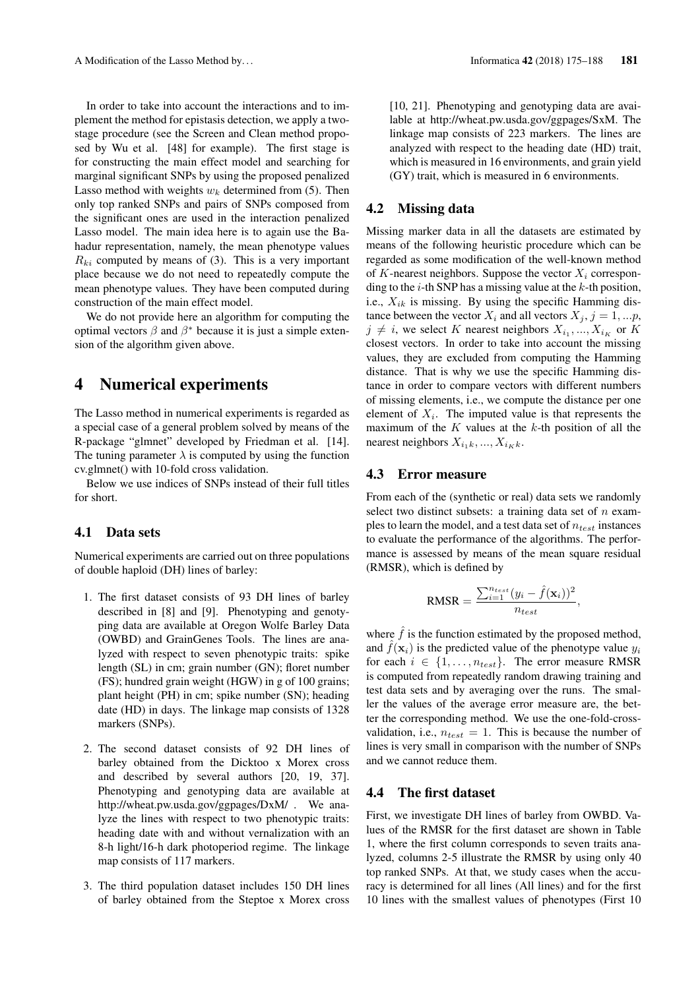In order to take into account the interactions and to implement the method for epistasis detection, we apply a twostage procedure (see the Screen and Clean method proposed by Wu et al. [48] for example). The first stage is for constructing the main effect model and searching for marginal significant SNPs by using the proposed penalized Lasso method with weights  $w_k$  determined from (5). Then only top ranked SNPs and pairs of SNPs composed from the significant ones are used in the interaction penalized Lasso model. The main idea here is to again use the Bahadur representation, namely, the mean phenotype values  $R_{ki}$  computed by means of (3). This is a very important place because we do not need to repeatedly compute the mean phenotype values. They have been computed during construction of the main effect model.

We do not provide here an algorithm for computing the optimal vectors  $\beta$  and  $\beta^*$  because it is just a simple extension of the algorithm given above.

## 4 Numerical experiments

The Lasso method in numerical experiments is regarded as a special case of a general problem solved by means of the R-package "glmnet" developed by Friedman et al. [14]. The tuning parameter  $\lambda$  is computed by using the function cv.glmnet() with 10-fold cross validation.

Below we use indices of SNPs instead of their full titles for short.

### 4.1 Data sets

Numerical experiments are carried out on three populations of double haploid (DH) lines of barley:

- 1. The first dataset consists of 93 DH lines of barley described in [8] and [9]. Phenotyping and genotyping data are available at Oregon Wolfe Barley Data (OWBD) and GrainGenes Tools. The lines are analyzed with respect to seven phenotypic traits: spike length (SL) in cm; grain number (GN); floret number (FS); hundred grain weight (HGW) in g of 100 grains; plant height (PH) in cm; spike number (SN); heading date (HD) in days. The linkage map consists of 1328 markers (SNPs).
- 2. The second dataset consists of 92 DH lines of barley obtained from the Dicktoo x Morex cross and described by several authors [20, 19, 37]. Phenotyping and genotyping data are available at http://wheat.pw.usda.gov/ggpages/DxM/ . We analyze the lines with respect to two phenotypic traits: heading date with and without vernalization with an 8-h light/16-h dark photoperiod regime. The linkage map consists of 117 markers.
- 3. The third population dataset includes 150 DH lines of barley obtained from the Steptoe x Morex cross

[10, 21]. Phenotyping and genotyping data are available at http://wheat.pw.usda.gov/ggpages/SxM. The linkage map consists of 223 markers. The lines are analyzed with respect to the heading date (HD) trait, which is measured in 16 environments, and grain yield (GY) trait, which is measured in 6 environments.

### 4.2 Missing data

Missing marker data in all the datasets are estimated by means of the following heuristic procedure which can be regarded as some modification of the well-known method of K-nearest neighbors. Suppose the vector  $X_i$  corresponding to the  $i$ -th SNP has a missing value at the  $k$ -th position, i.e.,  $X_{ik}$  is missing. By using the specific Hamming distance between the vector  $X_i$  and all vectors  $X_j$ ,  $j = 1, \dots p$ ,  $j \neq i$ , we select K nearest neighbors  $X_{i_1},...,X_{i_K}$  or K closest vectors. In order to take into account the missing values, they are excluded from computing the Hamming distance. That is why we use the specific Hamming distance in order to compare vectors with different numbers of missing elements, i.e., we compute the distance per one element of  $X_i$ . The imputed value is that represents the maximum of the  $K$  values at the  $k$ -th position of all the nearest neighbors  $X_{i_1k}, ..., X_{i_Kk}$ .

### 4.3 Error measure

From each of the (synthetic or real) data sets we randomly select two distinct subsets: a training data set of  $n$  examples to learn the model, and a test data set of  $n_{test}$  instances to evaluate the performance of the algorithms. The performance is assessed by means of the mean square residual (RMSR), which is defined by

$$
RMSR = \frac{\sum_{i=1}^{n_{test}} (y_i - \hat{f}(\mathbf{x}_i))^2}{n_{test}},
$$

where  $\hat{f}$  is the function estimated by the proposed method, and  $\hat{f}(\mathbf{x}_i)$  is the predicted value of the phenotype value  $y_i$ for each  $i \in \{1, \ldots, n_{test}\}.$  The error measure RMSR is computed from repeatedly random drawing training and test data sets and by averaging over the runs. The smaller the values of the average error measure are, the better the corresponding method. We use the one-fold-crossvalidation, i.e.,  $n_{test} = 1$ . This is because the number of lines is very small in comparison with the number of SNPs and we cannot reduce them.

### 4.4 The first dataset

First, we investigate DH lines of barley from OWBD. Values of the RMSR for the first dataset are shown in Table 1, where the first column corresponds to seven traits analyzed, columns 2-5 illustrate the RMSR by using only 40 top ranked SNPs. At that, we study cases when the accuracy is determined for all lines (All lines) and for the first 10 lines with the smallest values of phenotypes (First 10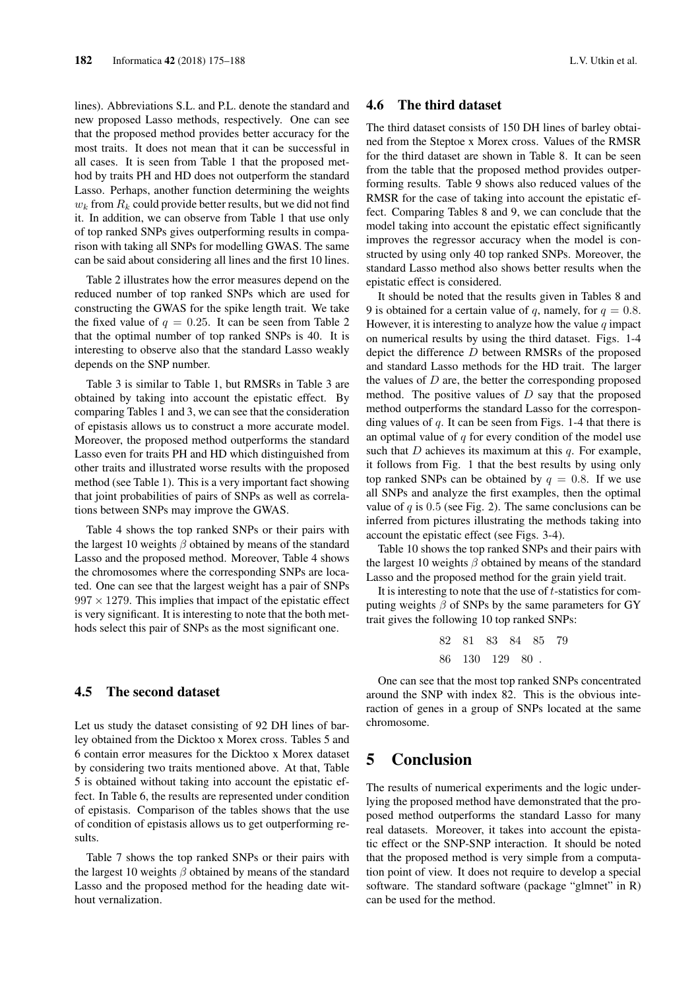lines). Abbreviations S.L. and P.L. denote the standard and new proposed Lasso methods, respectively. One can see that the proposed method provides better accuracy for the most traits. It does not mean that it can be successful in all cases. It is seen from Table 1 that the proposed method by traits PH and HD does not outperform the standard Lasso. Perhaps, another function determining the weights  $w_k$  from  $R_k$  could provide better results, but we did not find it. In addition, we can observe from Table 1 that use only of top ranked SNPs gives outperforming results in comparison with taking all SNPs for modelling GWAS. The same can be said about considering all lines and the first 10 lines.

Table 2 illustrates how the error measures depend on the reduced number of top ranked SNPs which are used for constructing the GWAS for the spike length trait. We take the fixed value of  $q = 0.25$ . It can be seen from Table 2 that the optimal number of top ranked SNPs is 40. It is interesting to observe also that the standard Lasso weakly depends on the SNP number.

Table 3 is similar to Table 1, but RMSRs in Table 3 are obtained by taking into account the epistatic effect. By comparing Tables 1 and 3, we can see that the consideration of epistasis allows us to construct a more accurate model. Moreover, the proposed method outperforms the standard Lasso even for traits PH and HD which distinguished from other traits and illustrated worse results with the proposed method (see Table 1). This is a very important fact showing that joint probabilities of pairs of SNPs as well as correlations between SNPs may improve the GWAS.

Table 4 shows the top ranked SNPs or their pairs with the largest 10 weights  $\beta$  obtained by means of the standard Lasso and the proposed method. Moreover, Table 4 shows the chromosomes where the corresponding SNPs are located. One can see that the largest weight has a pair of SNPs  $997 \times 1279$ . This implies that impact of the epistatic effect is very significant. It is interesting to note that the both methods select this pair of SNPs as the most significant one.

### 4.5 The second dataset

Let us study the dataset consisting of 92 DH lines of barley obtained from the Dicktoo x Morex cross. Tables 5 and 6 contain error measures for the Dicktoo x Morex dataset by considering two traits mentioned above. At that, Table 5 is obtained without taking into account the epistatic effect. In Table 6, the results are represented under condition of epistasis. Comparison of the tables shows that the use of condition of epistasis allows us to get outperforming results.

Table 7 shows the top ranked SNPs or their pairs with the largest 10 weights  $\beta$  obtained by means of the standard Lasso and the proposed method for the heading date without vernalization.

### 4.6 The third dataset

The third dataset consists of 150 DH lines of barley obtained from the Steptoe x Morex cross. Values of the RMSR for the third dataset are shown in Table 8. It can be seen from the table that the proposed method provides outperforming results. Table 9 shows also reduced values of the RMSR for the case of taking into account the epistatic effect. Comparing Tables 8 and 9, we can conclude that the model taking into account the epistatic effect significantly improves the regressor accuracy when the model is constructed by using only 40 top ranked SNPs. Moreover, the standard Lasso method also shows better results when the epistatic effect is considered.

It should be noted that the results given in Tables 8 and 9 is obtained for a certain value of q, namely, for  $q = 0.8$ . However, it is interesting to analyze how the value  $q$  impact on numerical results by using the third dataset. Figs. 1-4 depict the difference D between RMSRs of the proposed and standard Lasso methods for the HD trait. The larger the values of  $D$  are, the better the corresponding proposed method. The positive values of  $D$  say that the proposed method outperforms the standard Lasso for the corresponding values of  $q$ . It can be seen from Figs. 1-4 that there is an optimal value of  $q$  for every condition of the model use such that  $D$  achieves its maximum at this  $q$ . For example, it follows from Fig. 1 that the best results by using only top ranked SNPs can be obtained by  $q = 0.8$ . If we use all SNPs and analyze the first examples, then the optimal value of  $q$  is 0.5 (see Fig. 2). The same conclusions can be inferred from pictures illustrating the methods taking into account the epistatic effect (see Figs. 3-4).

Table 10 shows the top ranked SNPs and their pairs with the largest 10 weights  $\beta$  obtained by means of the standard Lasso and the proposed method for the grain yield trait.

It is interesting to note that the use of t-statistics for computing weights  $\beta$  of SNPs by the same parameters for GY trait gives the following 10 top ranked SNPs:

> 82 81 83 84 85 79 86 130 129 80 .

One can see that the most top ranked SNPs concentrated around the SNP with index 82. This is the obvious interaction of genes in a group of SNPs located at the same chromosome.

# 5 Conclusion

The results of numerical experiments and the logic underlying the proposed method have demonstrated that the proposed method outperforms the standard Lasso for many real datasets. Moreover, it takes into account the epistatic effect or the SNP-SNP interaction. It should be noted that the proposed method is very simple from a computation point of view. It does not require to develop a special software. The standard software (package "glmnet" in R) can be used for the method.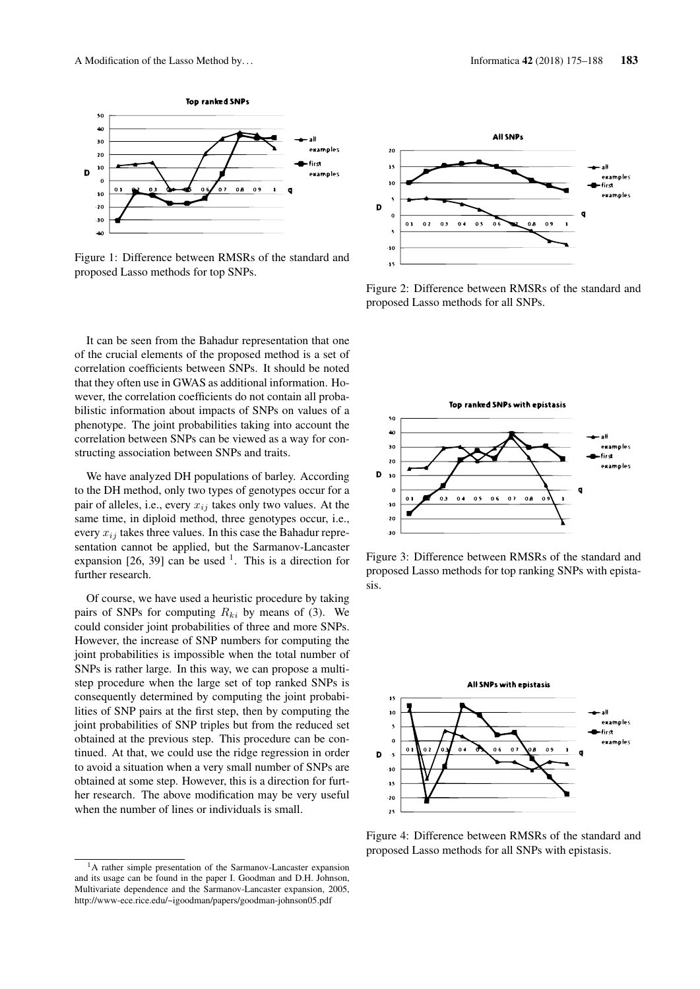

Figure 1: Difference between RMSRs of the standard and proposed Lasso methods for top SNPs.

It can be seen from the Bahadur representation that one of the crucial elements of the proposed method is a set of correlation coefficients between SNPs. It should be noted that they often use in GWAS as additional information. However, the correlation coefficients do not contain all probabilistic information about impacts of SNPs on values of a phenotype. The joint probabilities taking into account the correlation between SNPs can be viewed as a way for constructing association between SNPs and traits.

We have analyzed DH populations of barley. According to the DH method, only two types of genotypes occur for a pair of alleles, i.e., every  $x_{ij}$  takes only two values. At the same time, in diploid method, three genotypes occur, i.e., every  $x_{ij}$  takes three values. In this case the Bahadur representation cannot be applied, but the Sarmanov-Lancaster expansion [26, 39] can be used  $<sup>1</sup>$ . This is a direction for</sup> further research.

Of course, we have used a heuristic procedure by taking pairs of SNPs for computing  $R_{ki}$  by means of (3). We could consider joint probabilities of three and more SNPs. However, the increase of SNP numbers for computing the joint probabilities is impossible when the total number of SNPs is rather large. In this way, we can propose a multistep procedure when the large set of top ranked SNPs is consequently determined by computing the joint probabilities of SNP pairs at the first step, then by computing the joint probabilities of SNP triples but from the reduced set obtained at the previous step. This procedure can be continued. At that, we could use the ridge regression in order to avoid a situation when a very small number of SNPs are obtained at some step. However, this is a direction for further research. The above modification may be very useful when the number of lines or individuals is small.



Figure 2: Difference between RMSRs of the standard and proposed Lasso methods for all SNPs.



Figure 3: Difference between RMSRs of the standard and proposed Lasso methods for top ranking SNPs with epistasis.



Figure 4: Difference between RMSRs of the standard and proposed Lasso methods for all SNPs with epistasis.

<sup>&</sup>lt;sup>1</sup>A rather simple presentation of the Sarmanov-Lancaster expansion and its usage can be found in the paper I. Goodman and D.H. Johnson, Multivariate dependence and the Sarmanov-Lancaster expansion, 2005, http://www-ece.rice.edu/~igoodman/papers/goodman-johnson05.pdf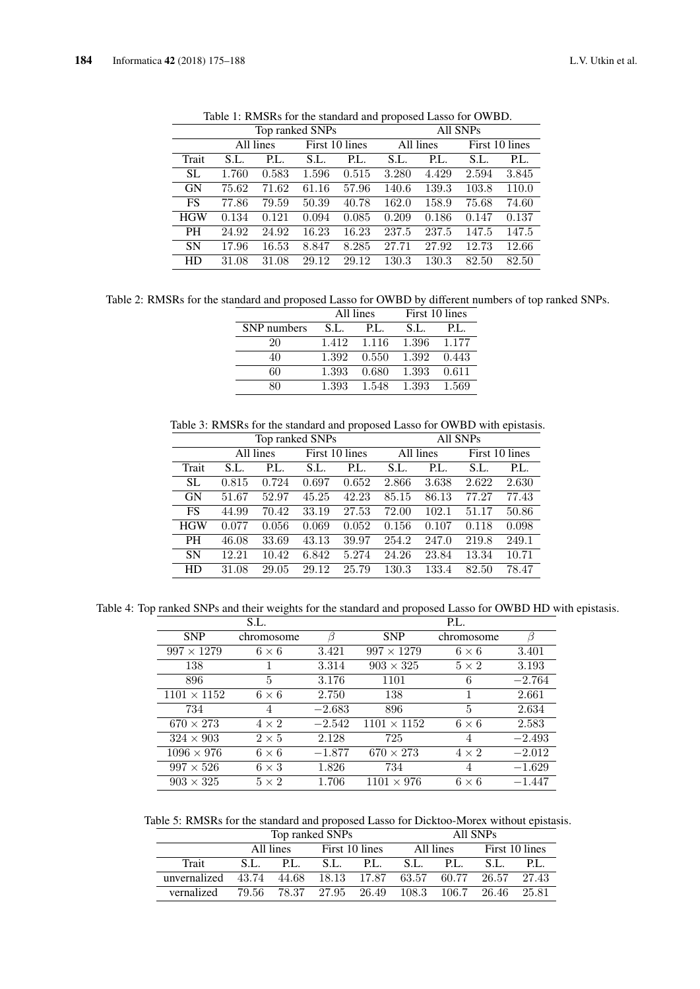|            |       |           | Top ranked SNPs |                | All SNPs  |       |                |       |  |
|------------|-------|-----------|-----------------|----------------|-----------|-------|----------------|-------|--|
|            |       | All lines |                 | First 10 lines | All lines |       | First 10 lines |       |  |
| Trait      | S.L.  | P.L.      | S.L.            | P.L.           | S.L.      | P.L.  | S.L.           | P.L.  |  |
| <b>SL</b>  | 1.760 | 0.583     | 1.596           | 0.515          | 3.280     | 4.429 | 2.594          | 3.845 |  |
| <b>GN</b>  | 75.62 | 71.62     | 61.16           | 57.96          | 140.6     | 139.3 | 103.8          | 110.0 |  |
| <b>FS</b>  | 77.86 | 79.59     | 50.39           | 40.78          | 162.0     | 158.9 | 75.68          | 74.60 |  |
| <b>HGW</b> | 0.134 | 0.121     | 0.094           | 0.085          | 0.209     | 0.186 | 0.147          | 0.137 |  |
| <b>PH</b>  | 24.92 | 24.92     | 16.23           | 16.23          | 237.5     | 237.5 | 147.5          | 147.5 |  |
| <b>SN</b>  | 17.96 | $16.53\,$ | 8.847           | 8.285          | 27.71     | 27.92 | 12.73          | 12.66 |  |
| HD         | 31.08 | 31.08     | 29.12           | 29.12          | 130.3     | 130.3 | 82.50          | 82.50 |  |
|            |       |           |                 |                |           |       |                |       |  |

Table 1: RMSRs for the standard and proposed Lasso for OWBD.

Table 2: RMSRs for the standard and proposed Lasso for OWBD by different numbers of top ranked SNPs.

|             |       | All lines   | First 10 lines |       |  |
|-------------|-------|-------------|----------------|-------|--|
| SNP numbers | S.L.  | PL.         | S.L.           | PL.   |  |
| 20          |       | 1.412 1.116 | 1.396 1.177    |       |  |
| 40          | 1.392 | 0.550       | 1.392          | 0.443 |  |
| 60          | 1.393 | 0.680       | 1.393          | 0.611 |  |
|             | 1.393 | 1.548       | 1.393          | 1.569 |  |

Table 3: RMSRs for the standard and proposed Lasso for OWBD with epistasis.

|            |       | Top ranked SNPs |       |                | All SNPs |           |       |                |
|------------|-------|-----------------|-------|----------------|----------|-----------|-------|----------------|
|            |       | All lines       |       | First 10 lines |          | All lines |       | First 10 lines |
| Trait      | S.L.  | P.L.            | S.L.  | P.L.           | S.L.     | P.L.      | S.L.  | P.L.           |
| SL.        | 0.815 | 0.724           | 0.697 | 0.652          | 2.866    | 3.638     | 2.622 | 2.630          |
| <b>GN</b>  | 51.67 | 52.97           | 45.25 | 42.23          | 85.15    | 86.13     | 77.27 | 77.43          |
| <b>FS</b>  | 44.99 | 70.42           | 33.19 | 27.53          | 72.00    | 102.1     | 51.17 | 50.86          |
| <b>HGW</b> | 0.077 | 0.056           | 0.069 | 0.052          | 0.156    | 0.107     | 0.118 | 0.098          |
| <b>PH</b>  | 46.08 | 33.69           | 43.13 | 39.97          | 254.2    | 247.0     | 219.8 | 249.1          |
| <b>SN</b>  | 12.21 | 10.42           | 6.842 | 5.274          | 24.26    | 23.84     | 13.34 | 10.71          |
| HD         | 31.08 | 29.05           | 29.12 | 25.79          | 130.3    | 133.4     | 82.50 | 78.47          |

Table 4: Top ranked SNPs and their weights for the standard and proposed Lasso for OWBD HD with epistasis.

|                    | S.L.         |          |                    | P.L.         |          |
|--------------------|--------------|----------|--------------------|--------------|----------|
| <b>SNP</b>         | chromosome   | ß        | <b>SNP</b>         | chromosome   | ß        |
| $997 \times 1279$  | $6 \times 6$ | 3.421    | $997 \times 1279$  | $6 \times 6$ | 3.401    |
| 138                |              | 3.314    | $903 \times 325$   | $5 \times 2$ | 3.193    |
| 896                | 5            | 3.176    | 1101               | 6            | $-2.764$ |
| $1101 \times 1152$ | $6 \times 6$ | 2.750    | 138                |              | 2.661    |
| 734                | 4            | $-2.683$ | 896                | 5            | 2.634    |
| $670 \times 273$   | $4 \times 2$ | $-2.542$ | $1101 \times 1152$ | $6 \times 6$ | 2.583    |
| $324 \times 903$   | $2\times 5$  | 2.128    | 725                | 4            | $-2.493$ |
| $1096 \times 976$  | $6 \times 6$ | $-1.877$ | $670 \times 273$   | $4 \times 2$ | $-2.012$ |
| $997 \times 526$   | $6 \times 3$ | 1.826    | 734                | 4            | $-1.629$ |
| $903 \times 325$   | $5 \times 2$ | 1.706    | $1101 \times 976$  | $6 \times 6$ | $-1.447$ |

Table 5: RMSRs for the standard and proposed Lasso for Dicktoo-Morex without epistasis.

|                                                        | Top ranked SNPs         |                             |           |  | All SNPs                    |  |      |       |
|--------------------------------------------------------|-------------------------|-----------------------------|-----------|--|-----------------------------|--|------|-------|
|                                                        |                         | First 10 lines<br>All lines |           |  | First 10 lines<br>All lines |  |      |       |
| Trait                                                  | S.L.                    | P.L.                        | S.L. P.L. |  | S.L. P.L.                   |  | S.L. | P.L.  |
| unvernalized 43.74 44.68 18.13 17.87 63.57 60.77 26.57 |                         |                             |           |  |                             |  |      | 27.43 |
| vernalized                                             | 79.56 78.37 27.95 26.49 |                             |           |  | 108.3 106.7 26.46           |  |      | 25.81 |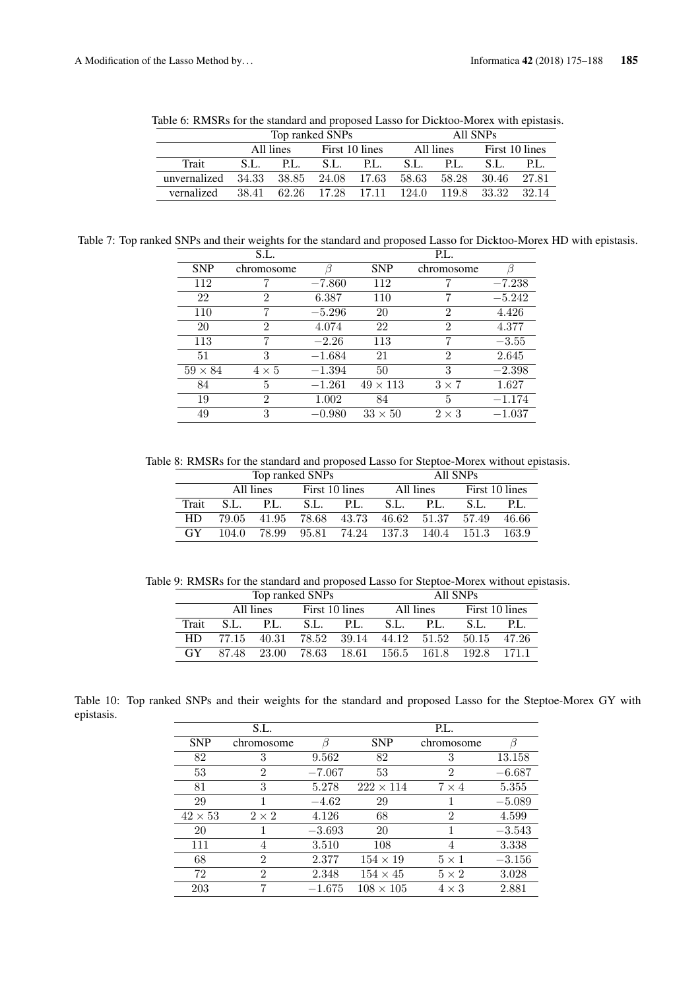|                                                              |      |                          | Top ranked SNPs                                 |  | All SNPs |           |      |                |  |
|--------------------------------------------------------------|------|--------------------------|-------------------------------------------------|--|----------|-----------|------|----------------|--|
|                                                              |      | All lines First 10 lines |                                                 |  |          | All lines |      | First 10 lines |  |
| Trait                                                        | S.L. |                          | P.L. S.L. P.L.                                  |  | S.L.     | P.L.      | S.L. | P.L.           |  |
| unvernalized 34.33 38.85 24.08 17.63 58.63 58.28 30.46 27.81 |      |                          |                                                 |  |          |           |      |                |  |
| vernalized                                                   |      |                          | 38.41 62.26 17.28 17.11 124.0 119.8 33.32 32.14 |  |          |           |      |                |  |

Table 6: RMSRs for the standard and proposed Lasso for Dicktoo-Morex with epistasis.

Table 7: Top ranked SNPs and their weights for the standard and proposed Lasso for Dicktoo-Morex HD with epistasis.

|                | S.L.           |          |                 | P.L.           |          |
|----------------|----------------|----------|-----------------|----------------|----------|
| <b>SNP</b>     | chromosome     |          | <b>SNP</b>      | chromosome     | ß        |
| 112            |                | $-7.860$ | 112             |                | $-7.238$ |
| 22             | 2              | 6.387    | 110             | 7              | $-5.242$ |
| 110            | 7              | $-5.296$ | 20              | $\overline{2}$ | 4.426    |
| 20             | $\overline{2}$ | 4.074    | 22              | 2              | 4.377    |
| 113            | 7              | $-2.26$  | 113             | 7              | $-3.55$  |
| 51             | 3              | $-1.684$ | 21              | $\overline{2}$ | 2.645    |
| $59 \times 84$ | $4 \times 5$   | $-1.394$ | 50              | 3              | $-2.398$ |
| 84             | 5              | $-1.261$ | $49 \times 113$ | $3 \times 7$   | 1.627    |
| 19             | 2              | 1.002    | 84              | 5              | $-1.174$ |
| 49             | 3              | $-0.980$ | $33 \times 50$  | $2\times3$     | $-1.037$ |
|                |                |          |                 |                |          |

Table 8: RMSRs for the standard and proposed Lasso for Steptoe-Morex without epistasis.

|       | Top ranked SNPs |           |              |                               |      | All SNPs  |                |       |  |  |
|-------|-----------------|-----------|--------------|-------------------------------|------|-----------|----------------|-------|--|--|
|       |                 | All lines |              | First 10 lines                |      | All lines | First 10 lines |       |  |  |
| Trait | S.L.            | P.L.      | S.L.<br>P.L. |                               | S.L. | P.L.      | S.L.           | P.L.  |  |  |
| HD    | 79.05           | 41.95     |              | 78.68 43.73 46.62 51.37 57.49 |      |           |                | 46.66 |  |  |
| GY    | 104.0           | 78.99     |              | 95.81 74.24 137.3 140.4 151.3 |      |           |                | 163.9 |  |  |

Table 9: RMSRs for the standard and proposed Lasso for Steptoe-Morex without epistasis.

|       | Top ranked SNPs |                                                 |                |  | All SNPs                |     |                |       |
|-------|-----------------|-------------------------------------------------|----------------|--|-------------------------|-----|----------------|-------|
|       |                 | All lines                                       | First 10 lines |  | All lines               |     | First 10 lines |       |
| Trait | S.L.            | P.L.                                            | S.L. P.L.      |  | S.L.                    | PL. | S.L.           | PL.   |
| HD    |                 | 77.15 40.31 78.52 39.14 44.12 51.52 50.15 47.26 |                |  |                         |     |                |       |
| GY    | 8748            | - 23.00                                         |                |  | 78.63 18.61 156.5 161.8 |     | 192.8          | 171.1 |

Table 10: Top ranked SNPs and their weights for the standard and proposed Lasso for the Steptoe-Morex GY with epistasis.

|                | S.L.           |          |                  | P.L.           |          |
|----------------|----------------|----------|------------------|----------------|----------|
| <b>SNP</b>     | chromosome     |          | <b>SNP</b>       | chromosome     |          |
| 82             | 3              | 9.562    | 82               | 3              | 13.158   |
| 53             | $\overline{2}$ | $-7.067$ | 53               | $\overline{2}$ | $-6.687$ |
| 81             | 3              | 5.278    | $222 \times 114$ | $7 \times 4$   | 5.355    |
| 29             |                | $-4.62$  | 29               |                | $-5.089$ |
| $42 \times 53$ | $2 \times 2$   | 4.126    | 68               | $\mathfrak{D}$ | 4.599    |
| 20             |                | $-3.693$ | 20               |                | $-3.543$ |
| 111            | 4              | 3.510    | 108              | 4              | 3.338    |
| 68             | $\overline{2}$ | 2.377    | $154\times19$    | $5 \times 1$   | $-3.156$ |
| 72             | $\overline{2}$ | 2.348    | $154 \times 45$  | $5 \times 2$   | 3.028    |
| 203            | 7              | $-1.675$ | $108 \times 105$ | $4 \times 3$   | 2.881    |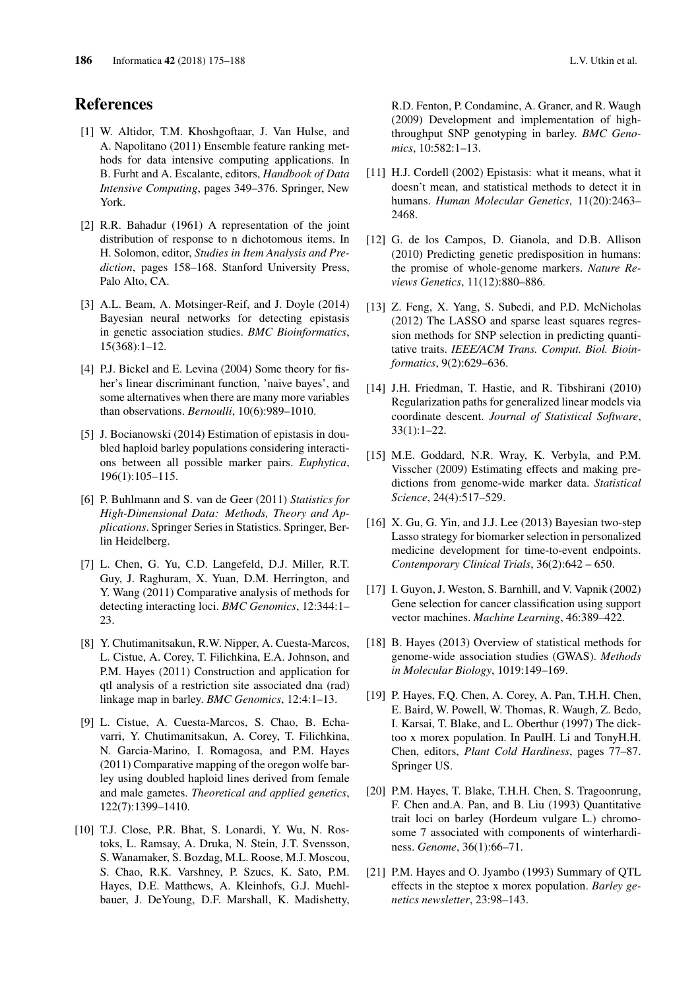# References

- [1] W. Altidor, T.M. Khoshgoftaar, J. Van Hulse, and A. Napolitano (2011) Ensemble feature ranking methods for data intensive computing applications. In B. Furht and A. Escalante, editors, *Handbook of Data Intensive Computing*, pages 349–376. Springer, New York.
- [2] R.R. Bahadur (1961) A representation of the joint distribution of response to n dichotomous items. In H. Solomon, editor, *Studies in Item Analysis and Prediction*, pages 158–168. Stanford University Press, Palo Alto, CA.
- [3] A.L. Beam, A. Motsinger-Reif, and J. Doyle (2014) Bayesian neural networks for detecting epistasis in genetic association studies. *BMC Bioinformatics*, 15(368):1–12.
- [4] P.J. Bickel and E. Levina (2004) Some theory for fisher's linear discriminant function, 'naive bayes', and some alternatives when there are many more variables than observations. *Bernoulli*, 10(6):989–1010.
- [5] J. Bocianowski (2014) Estimation of epistasis in doubled haploid barley populations considering interactions between all possible marker pairs. *Euphytica*, 196(1):105–115.
- [6] P. Buhlmann and S. van de Geer (2011) *Statistics for High-Dimensional Data: Methods, Theory and Applications*. Springer Series in Statistics. Springer, Berlin Heidelberg.
- [7] L. Chen, G. Yu, C.D. Langefeld, D.J. Miller, R.T. Guy, J. Raghuram, X. Yuan, D.M. Herrington, and Y. Wang (2011) Comparative analysis of methods for detecting interacting loci. *BMC Genomics*, 12:344:1– 23.
- [8] Y. Chutimanitsakun, R.W. Nipper, A. Cuesta-Marcos, L. Cistue, A. Corey, T. Filichkina, E.A. Johnson, and P.M. Hayes (2011) Construction and application for qtl analysis of a restriction site associated dna (rad) linkage map in barley. *BMC Genomics*, 12:4:1–13.
- [9] L. Cistue, A. Cuesta-Marcos, S. Chao, B. Echavarri, Y. Chutimanitsakun, A. Corey, T. Filichkina, N. Garcia-Marino, I. Romagosa, and P.M. Hayes (2011) Comparative mapping of the oregon wolfe barley using doubled haploid lines derived from female and male gametes. *Theoretical and applied genetics*, 122(7):1399–1410.
- [10] T.J. Close, P.R. Bhat, S. Lonardi, Y. Wu, N. Rostoks, L. Ramsay, A. Druka, N. Stein, J.T. Svensson, S. Wanamaker, S. Bozdag, M.L. Roose, M.J. Moscou, S. Chao, R.K. Varshney, P. Szucs, K. Sato, P.M. Hayes, D.E. Matthews, A. Kleinhofs, G.J. Muehlbauer, J. DeYoung, D.F. Marshall, K. Madishetty,

R.D. Fenton, P. Condamine, A. Graner, and R. Waugh (2009) Development and implementation of highthroughput SNP genotyping in barley. *BMC Genomics*, 10:582:1–13.

- [11] H.J. Cordell (2002) Epistasis: what it means, what it doesn't mean, and statistical methods to detect it in humans. *Human Molecular Genetics*, 11(20):2463– 2468.
- [12] G. de los Campos, D. Gianola, and D.B. Allison (2010) Predicting genetic predisposition in humans: the promise of whole-genome markers. *Nature Reviews Genetics*, 11(12):880–886.
- [13] Z. Feng, X. Yang, S. Subedi, and P.D. McNicholas (2012) The LASSO and sparse least squares regression methods for SNP selection in predicting quantitative traits. *IEEE/ACM Trans. Comput. Biol. Bioinformatics*, 9(2):629–636.
- [14] J.H. Friedman, T. Hastie, and R. Tibshirani (2010) Regularization paths for generalized linear models via coordinate descent. *Journal of Statistical Software*, 33(1):1–22.
- [15] M.E. Goddard, N.R. Wray, K. Verbyla, and P.M. Visscher (2009) Estimating effects and making predictions from genome-wide marker data. *Statistical Science*, 24(4):517–529.
- [16] X. Gu, G. Yin, and J.J. Lee (2013) Bayesian two-step Lasso strategy for biomarker selection in personalized medicine development for time-to-event endpoints. *Contemporary Clinical Trials*, 36(2):642 – 650.
- [17] I. Guyon, J. Weston, S. Barnhill, and V. Vapnik (2002) Gene selection for cancer classification using support vector machines. *Machine Learning*, 46:389–422.
- [18] B. Hayes (2013) Overview of statistical methods for genome-wide association studies (GWAS). *Methods in Molecular Biology*, 1019:149–169.
- [19] P. Hayes, F.Q. Chen, A. Corey, A. Pan, T.H.H. Chen, E. Baird, W. Powell, W. Thomas, R. Waugh, Z. Bedo, I. Karsai, T. Blake, and L. Oberthur (1997) The dicktoo x morex population. In PaulH. Li and TonyH.H. Chen, editors, *Plant Cold Hardiness*, pages 77–87. Springer US.
- [20] P.M. Hayes, T. Blake, T.H.H. Chen, S. Tragoonrung, F. Chen and.A. Pan, and B. Liu (1993) Quantitative trait loci on barley (Hordeum vulgare L.) chromosome 7 associated with components of winterhardiness. *Genome*, 36(1):66–71.
- [21] P.M. Hayes and O. Jyambo (1993) Summary of QTL effects in the steptoe x morex population. *Barley genetics newsletter*, 23:98–143.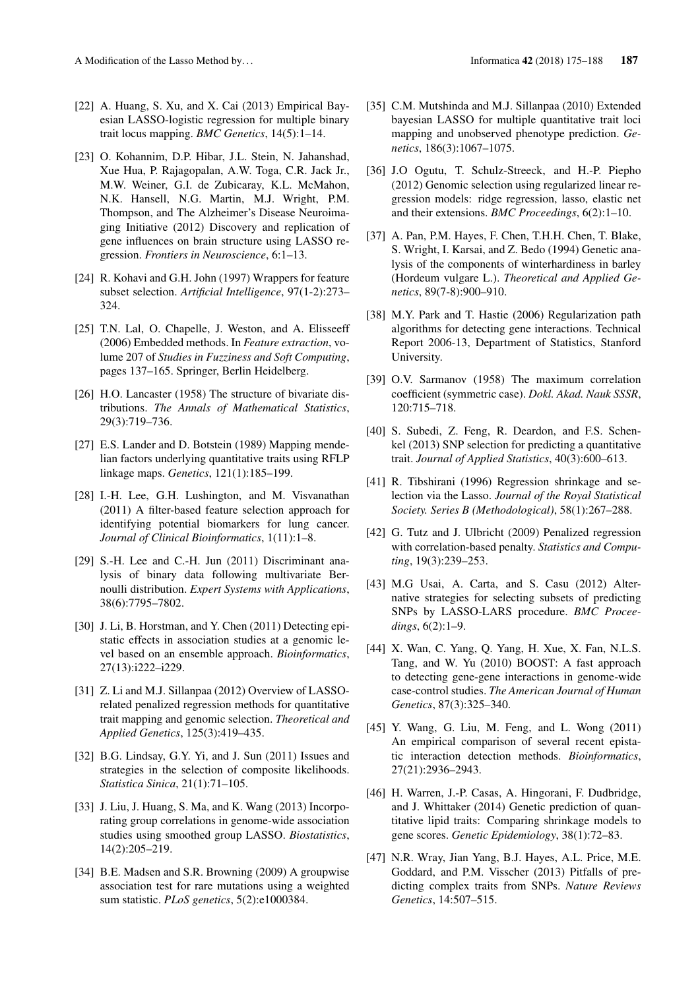- [22] A. Huang, S. Xu, and X. Cai (2013) Empirical Bayesian LASSO-logistic regression for multiple binary trait locus mapping. *BMC Genetics*, 14(5):1–14.
- [23] O. Kohannim, D.P. Hibar, J.L. Stein, N. Jahanshad, Xue Hua, P. Rajagopalan, A.W. Toga, C.R. Jack Jr., M.W. Weiner, G.I. de Zubicaray, K.L. McMahon, N.K. Hansell, N.G. Martin, M.J. Wright, P.M. Thompson, and The Alzheimer's Disease Neuroimaging Initiative (2012) Discovery and replication of gene influences on brain structure using LASSO regression. *Frontiers in Neuroscience*, 6:1–13.
- [24] R. Kohavi and G.H. John (1997) Wrappers for feature subset selection. *Artificial Intelligence*, 97(1-2):273– 324.
- [25] T.N. Lal, O. Chapelle, J. Weston, and A. Elisseeff (2006) Embedded methods. In *Feature extraction*, volume 207 of *Studies in Fuzziness and Soft Computing*, pages 137–165. Springer, Berlin Heidelberg.
- [26] H.O. Lancaster (1958) The structure of bivariate distributions. *The Annals of Mathematical Statistics*, 29(3):719–736.
- [27] E.S. Lander and D. Botstein (1989) Mapping mendelian factors underlying quantitative traits using RFLP linkage maps. *Genetics*, 121(1):185–199.
- [28] I.-H. Lee, G.H. Lushington, and M. Visvanathan (2011) A filter-based feature selection approach for identifying potential biomarkers for lung cancer. *Journal of Clinical Bioinformatics*, 1(11):1–8.
- [29] S.-H. Lee and C.-H. Jun (2011) Discriminant analysis of binary data following multivariate Bernoulli distribution. *Expert Systems with Applications*, 38(6):7795–7802.
- [30] J. Li, B. Horstman, and Y. Chen (2011) Detecting epistatic effects in association studies at a genomic level based on an ensemble approach. *Bioinformatics*, 27(13):i222–i229.
- [31] Z. Li and M.J. Sillanpaa (2012) Overview of LASSOrelated penalized regression methods for quantitative trait mapping and genomic selection. *Theoretical and Applied Genetics*, 125(3):419–435.
- [32] B.G. Lindsay, G.Y. Yi, and J. Sun (2011) Issues and strategies in the selection of composite likelihoods. *Statistica Sinica*, 21(1):71–105.
- [33] J. Liu, J. Huang, S. Ma, and K. Wang (2013) Incorporating group correlations in genome-wide association studies using smoothed group LASSO. *Biostatistics*, 14(2):205–219.
- [34] B.E. Madsen and S.R. Browning (2009) A groupwise association test for rare mutations using a weighted sum statistic. *PLoS genetics*, 5(2):e1000384.
- [35] C.M. Mutshinda and M.J. Sillanpaa (2010) Extended bayesian LASSO for multiple quantitative trait loci mapping and unobserved phenotype prediction. *Genetics*, 186(3):1067–1075.
- [36] J.O Ogutu, T. Schulz-Streeck, and H.-P. Piepho (2012) Genomic selection using regularized linear regression models: ridge regression, lasso, elastic net and their extensions. *BMC Proceedings*, 6(2):1–10.
- [37] A. Pan, P.M. Hayes, F. Chen, T.H.H. Chen, T. Blake, S. Wright, I. Karsai, and Z. Bedo (1994) Genetic analysis of the components of winterhardiness in barley (Hordeum vulgare L.). *Theoretical and Applied Genetics*, 89(7-8):900–910.
- [38] M.Y. Park and T. Hastie (2006) Regularization path algorithms for detecting gene interactions. Technical Report 2006-13, Department of Statistics, Stanford University.
- [39] O.V. Sarmanov (1958) The maximum correlation coefficient (symmetric case). *Dokl. Akad. Nauk SSSR*, 120:715–718.
- [40] S. Subedi, Z. Feng, R. Deardon, and F.S. Schenkel (2013) SNP selection for predicting a quantitative trait. *Journal of Applied Statistics*, 40(3):600–613.
- [41] R. Tibshirani (1996) Regression shrinkage and selection via the Lasso. *Journal of the Royal Statistical Society. Series B (Methodological)*, 58(1):267–288.
- [42] G. Tutz and J. Ulbricht (2009) Penalized regression with correlation-based penalty. *Statistics and Computing*, 19(3):239–253.
- [43] M.G Usai, A. Carta, and S. Casu (2012) Alternative strategies for selecting subsets of predicting SNPs by LASSO-LARS procedure. *BMC Proceedings*, 6(2):1–9.
- [44] X. Wan, C. Yang, Q. Yang, H. Xue, X. Fan, N.L.S. Tang, and W. Yu (2010) BOOST: A fast approach to detecting gene-gene interactions in genome-wide case-control studies. *The American Journal of Human Genetics*, 87(3):325–340.
- [45] Y. Wang, G. Liu, M. Feng, and L. Wong (2011) An empirical comparison of several recent epistatic interaction detection methods. *Bioinformatics*, 27(21):2936–2943.
- [46] H. Warren, J.-P. Casas, A. Hingorani, F. Dudbridge, and J. Whittaker (2014) Genetic prediction of quantitative lipid traits: Comparing shrinkage models to gene scores. *Genetic Epidemiology*, 38(1):72–83.
- [47] N.R. Wray, Jian Yang, B.J. Hayes, A.L. Price, M.E. Goddard, and P.M. Visscher (2013) Pitfalls of predicting complex traits from SNPs. *Nature Reviews Genetics*, 14:507–515.